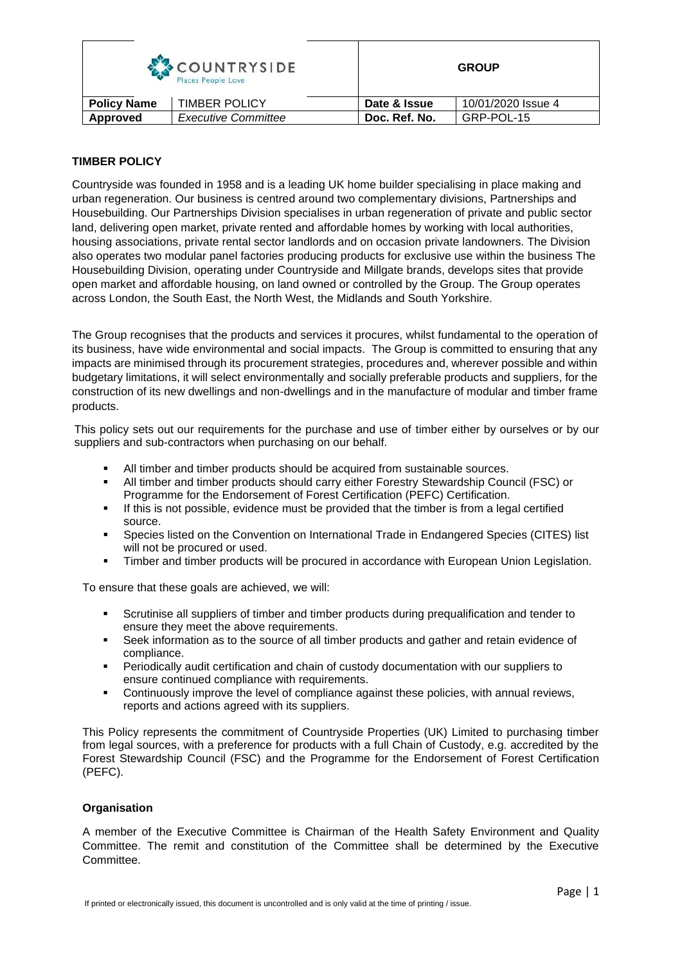| COUNTRYSIDE<br>Places People Love |                            |               | <b>GROUP</b>       |  |
|-----------------------------------|----------------------------|---------------|--------------------|--|
| <b>Policy Name</b>                | <b>TIMBER POLICY</b>       | Date & Issue  | 10/01/2020 Issue 4 |  |
| Approved                          | <b>Executive Committee</b> | Doc. Ref. No. | GRP-POL-15         |  |

## **TIMBER POLICY**

Countryside was founded in 1958 and is a leading UK home builder specialising in place making and urban regeneration. Our business is centred around two complementary divisions, Partnerships and Housebuilding. Our Partnerships Division specialises in urban regeneration of private and public sector land, delivering open market, private rented and affordable homes by working with local authorities, housing associations, private rental sector landlords and on occasion private landowners. The Division also operates two modular panel factories producing products for exclusive use within the business The Housebuilding Division, operating under Countryside and Millgate brands, develops sites that provide open market and affordable housing, on land owned or controlled by the Group. The Group operates across London, the South East, the North West, the Midlands and South Yorkshire.

The Group recognises that the products and services it procures, whilst fundamental to the operation of its business, have wide environmental and social impacts. The Group is committed to ensuring that any impacts are minimised through its procurement strategies, procedures and, wherever possible and within budgetary limitations, it will select environmentally and socially preferable products and suppliers, for the construction of its new dwellings and non-dwellings and in the manufacture of modular and timber frame products.

This policy sets out our requirements for the purchase and use of timber either by ourselves or by our suppliers and sub-contractors when purchasing on our behalf.

- All timber and timber products should be acquired from sustainable sources.
- All timber and timber products should carry either Forestry Stewardship Council (FSC) or Programme for the Endorsement of Forest Certification (PEFC) Certification.
- If this is not possible, evidence must be provided that the timber is from a legal certified source.
- Species listed on the Convention on International Trade in Endangered Species (CITES) list will not be procured or used.
- Timber and timber products will be procured in accordance with European Union Legislation.

To ensure that these goals are achieved, we will:

- Scrutinise all suppliers of timber and timber products during prequalification and tender to ensure they meet the above requirements.
- Seek information as to the source of all timber products and gather and retain evidence of compliance.
- Periodically audit certification and chain of custody documentation with our suppliers to ensure continued compliance with requirements.
- Continuously improve the level of compliance against these policies, with annual reviews, reports and actions agreed with its suppliers.

This Policy represents the commitment of Countryside Properties (UK) Limited to purchasing timber from legal sources, with a preference for products with a full Chain of Custody, e.g. accredited by the Forest Stewardship Council (FSC) and the Programme for the Endorsement of Forest Certification (PEFC).

## **Organisation**

A member of the Executive Committee is Chairman of the Health Safety Environment and Quality Committee. The remit and constitution of the Committee shall be determined by the Executive Committee.